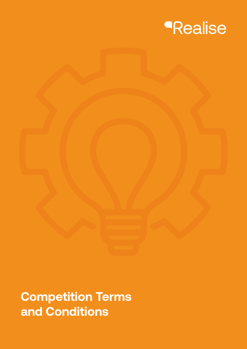

## **Competition Terms and Conditions**